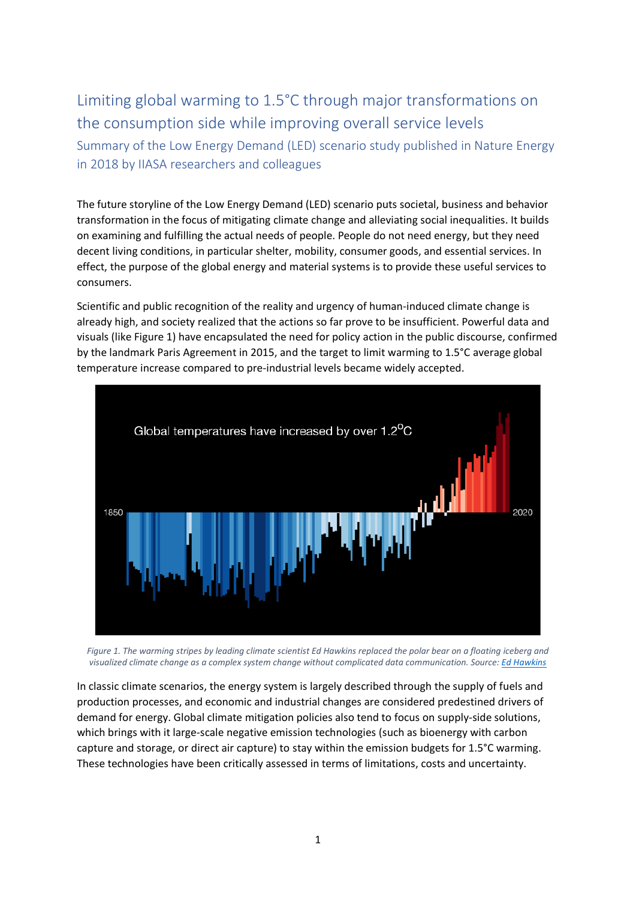## Limiting global warming to 1.5°C through major transformations on the consumption side while improving overall service levels Summary of the Low Energy Demand (LED) scenario study published in Nature Energy in 2018 by IIASA researchers and colleagues

The future storyline of the Low Energy Demand (LED) scenario puts societal, business and behavior transformation in the focus of mitigating climate change and alleviating social inequalities. It builds on examining and fulfilling the actual needs of people. People do not need energy, but they need decent living conditions, in particular shelter, mobility, consumer goods, and essential services. In effect, the purpose of the global energy and material systems is to provide these useful services to consumers.

Scientific and public recognition of the reality and urgency of human-induced climate change is already high, and society realized that the actions so far prove to be insufficient. Powerful data and visuals (like Figure 1) have encapsulated the need for policy action in the public discourse, confirmed by the landmark Paris Agreement in 2015, and the target to limit warming to 1.5°C average global temperature increase compared to pre-industrial levels became widely accepted.



*Figure 1. The warming stripes by leading climate scientist Ed Hawkins replaced the polar bear on a floating iceberg and visualized climate change as a complex system change without complicated data communication. Source[: Ed Hawkins](https://showyourstripes.info/b/globe)*

In classic climate scenarios, the energy system is largely described through the supply of fuels and production processes, and economic and industrial changes are considered predestined drivers of demand for energy. Global climate mitigation policies also tend to focus on supply-side solutions, which brings with it large-scale negative emission technologies (such as bioenergy with carbon capture and storage, or direct air capture) to stay within the emission budgets for 1.5°C warming. These technologies have been critically assessed in terms of limitations, costs and uncertainty.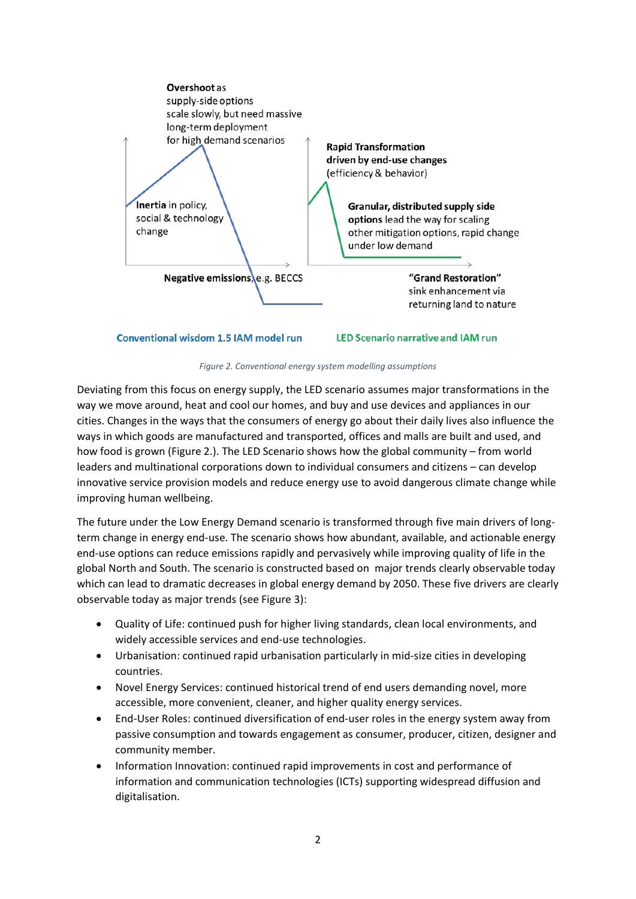

**Conventional wisdom 1.5 IAM model run** 

**LED Scenario narrative and IAM run** 



Deviating from this focus on energy supply, the LED scenario assumes major transformations in the way we move around, heat and cool our homes, and buy and use devices and appliances in our cities. Changes in the ways that the consumers of energy go about their daily lives also influence the ways in which goods are manufactured and transported, offices and malls are built and used, and how food is grown (Figure 2.). The LED Scenario shows how the global community – from world leaders and multinational corporations down to individual consumers and citizens – can develop innovative service provision models and reduce energy use to avoid dangerous climate change while improving human wellbeing.

The future under the Low Energy Demand scenario is transformed through five main drivers of longterm change in energy end-use. The scenario shows how abundant, available, and actionable energy end-use options can reduce emissions rapidly and pervasively while improving quality of life in the global North and South. The scenario is constructed based on major trends clearly observable today which can lead to dramatic decreases in global energy demand by 2050. These five drivers are clearly observable today as major trends (see Figure 3):

- Quality of Life: continued push for higher living standards, clean local environments, and widely accessible services and end-use technologies.
- Urbanisation: continued rapid urbanisation particularly in mid-size cities in developing countries.
- Novel Energy Services: continued historical trend of end users demanding novel, more accessible, more convenient, cleaner, and higher quality energy services.
- End-User Roles: continued diversification of end-user roles in the energy system away from passive consumption and towards engagement as consumer, producer, citizen, designer and community member.
- Information Innovation: continued rapid improvements in cost and performance of information and communication technologies (ICTs) supporting widespread diffusion and digitalisation.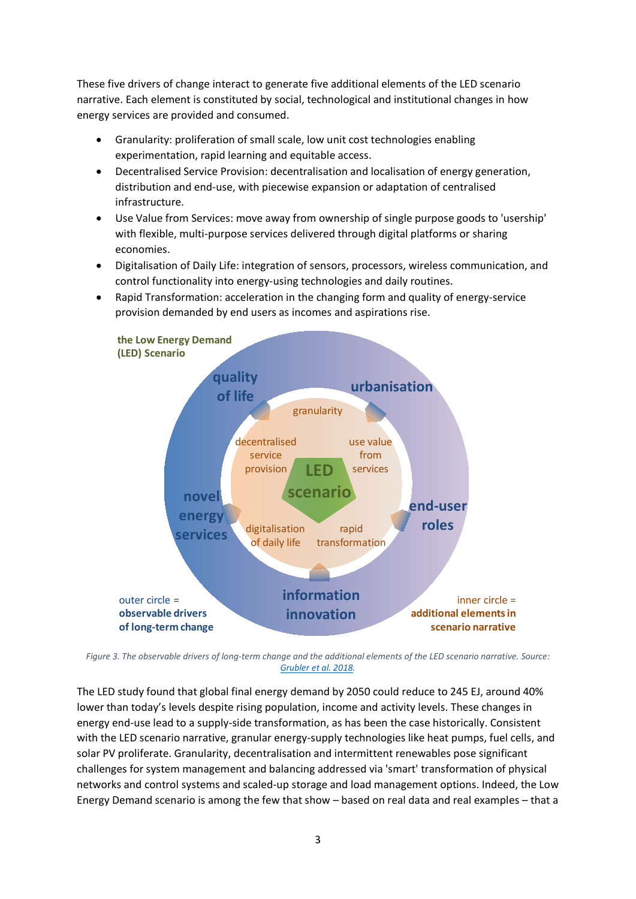These five drivers of change interact to generate five additional elements of the LED scenario narrative. Each element is constituted by social, technological and institutional changes in how energy services are provided and consumed.

- Granularity: proliferation of small scale, low unit cost technologies enabling experimentation, rapid learning and equitable access.
- Decentralised Service Provision: decentralisation and localisation of energy generation, distribution and end-use, with piecewise expansion or adaptation of centralised infrastructure.
- Use Value from Services: move away from ownership of single purpose goods to 'usership' with flexible, multi-purpose services delivered through digital platforms or sharing economies.
- Digitalisation of Daily Life: integration of sensors, processors, wireless communication, and control functionality into energy-using technologies and daily routines.
- Rapid Transformation: acceleration in the changing form and quality of energy-service provision demanded by end users as incomes and aspirations rise.



*Figure 3. The observable drivers of long-term change and the additional elements of the LED scenario narrative. Source: [Grubler et al. 2018.](https://www.nature.com/articles/s41560-018-0172-6)*

The LED study found that global final energy demand by 2050 could reduce to 245 EJ, around 40% lower than today's levels despite rising population, income and activity levels. These changes in energy end-use lead to a supply-side transformation, as has been the case historically. Consistent with the LED scenario narrative, granular energy-supply technologies like heat pumps, fuel cells, and solar PV proliferate. Granularity, decentralisation and intermittent renewables pose significant challenges for system management and balancing addressed via 'smart' transformation of physical networks and control systems and scaled-up storage and load management options. Indeed, the Low Energy Demand scenario is among the few that show – based on real data and real examples – that a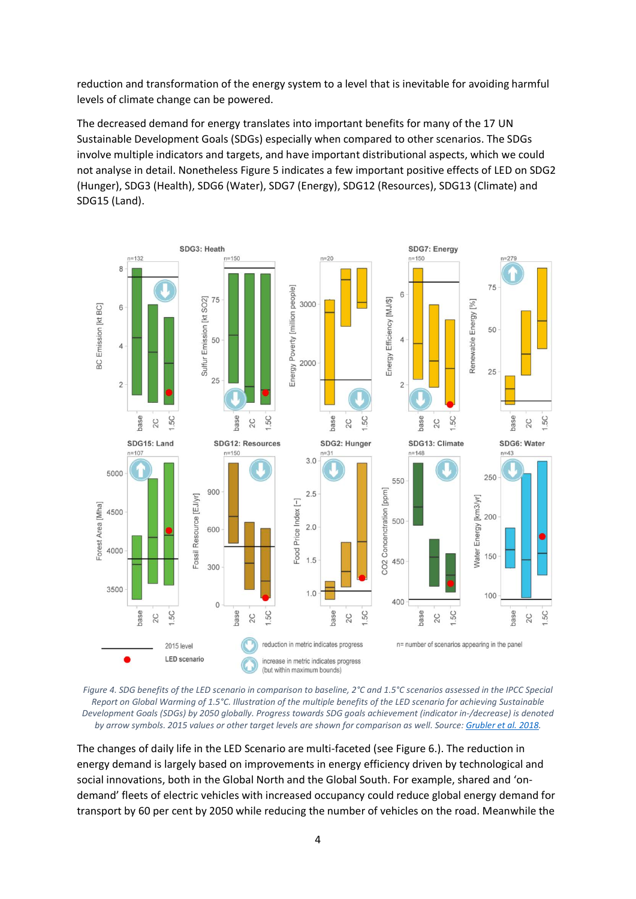reduction and transformation of the energy system to a level that is inevitable for avoiding harmful levels of climate change can be powered.

The decreased demand for energy translates into important benefits for many of the 17 UN Sustainable Development Goals (SDGs) especially when compared to other scenarios. The SDGs involve multiple indicators and targets, and have important distributional aspects, which we could not analyse in detail. Nonetheless Figure 5 indicates a few important positive effects of LED on SDG2 (Hunger), SDG3 (Health), SDG6 (Water), SDG7 (Energy), SDG12 (Resources), SDG13 (Climate) and SDG15 (Land).





The changes of daily life in the LED Scenario are multi-faceted (see Figure 6.). The reduction in energy demand is largely based on improvements in energy efficiency driven by technological and social innovations, both in the Global North and the Global South. For example, shared and 'ondemand' fleets of electric vehicles with increased occupancy could reduce global energy demand for transport by 60 per cent by 2050 while reducing the number of vehicles on the road. Meanwhile the